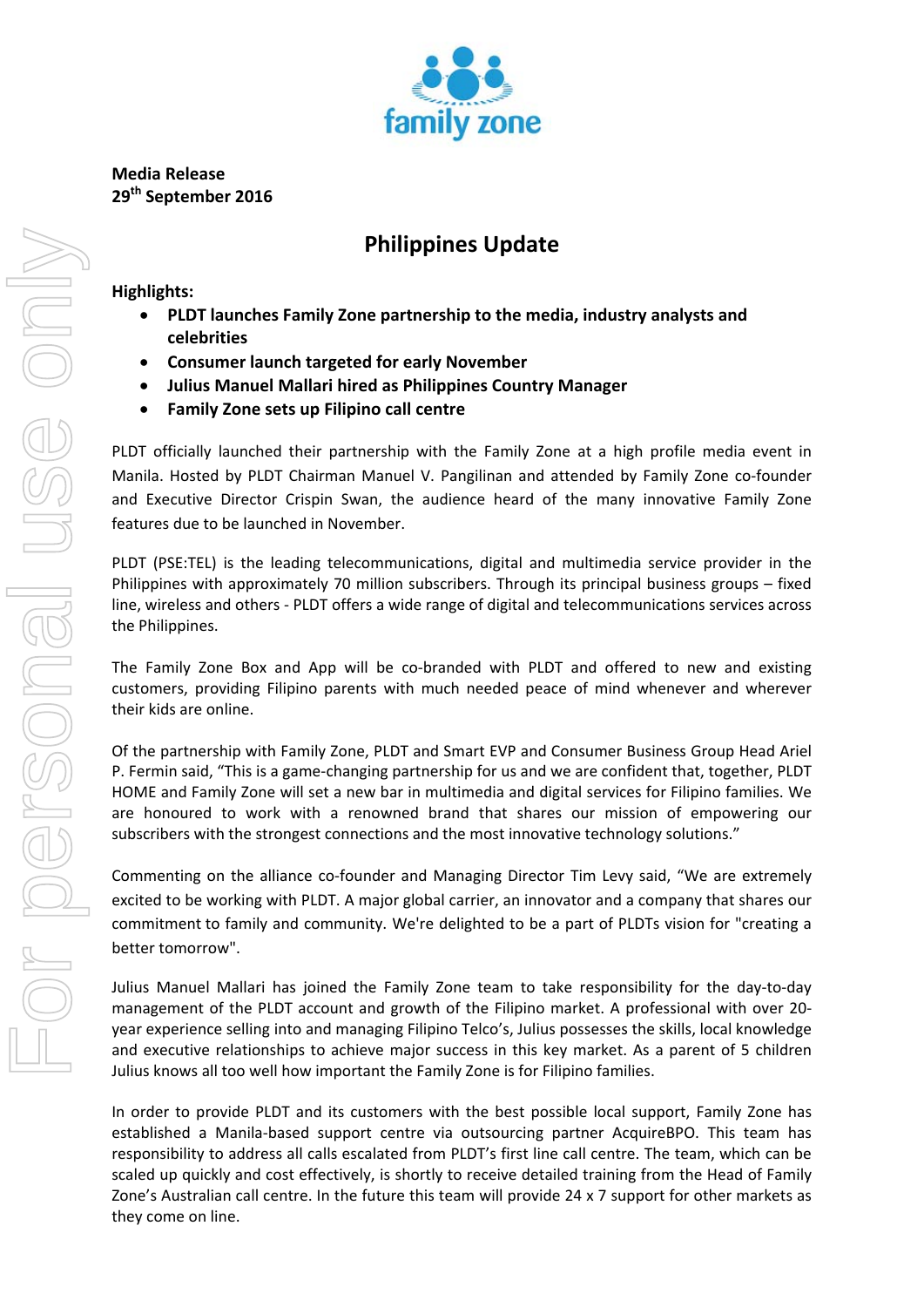

**Media Release 29th September 2016** 

## **Philippines Update**

**Highlights:** 

- **PLDT launches Family Zone partnership to the media, industry analysts and celebrities**
- **Consumer launch targeted for early November**
- **Julius Manuel Mallari hired as Philippines Country Manager**
- **Family Zone sets up Filipino call centre**

PLDT officially launched their partnership with the Family Zone at a high profile media event in Manila. Hosted by PLDT Chairman Manuel V. Pangilinan and attended by Family Zone co‐founder and Executive Director Crispin Swan, the audience heard of the many innovative Family Zone features due to be launched in November.

PLDT (PSE:TEL) is the leading telecommunications, digital and multimedia service provider in the Philippines with approximately 70 million subscribers. Through its principal business groups – fixed line, wireless and others ‐ PLDT offers a wide range of digital and telecommunications services across the Philippines.

The Family Zone Box and App will be co-branded with PLDT and offered to new and existing customers, providing Filipino parents with much needed peace of mind whenever and wherever their kids are online.

Of the partnership with Family Zone, PLDT and Smart EVP and Consumer Business Group Head Ariel P. Fermin said, "This is a game‐changing partnership for us and we are confident that, together, PLDT HOME and Family Zone will set a new bar in multimedia and digital services for Filipino families. We are honoured to work with a renowned brand that shares our mission of empowering our subscribers with the strongest connections and the most innovative technology solutions."

Commenting on the alliance co-founder and Managing Director Tim Levy said, "We are extremely excited to be working with PLDT. A major global carrier, an innovator and a company that shares our commitment to family and community. We're delighted to be a part of PLDTs vision for "creating a better tomorrow".

Julius Manuel Mallari has joined the Family Zone team to take responsibility for the day‐to‐day management of the PLDT account and growth of the Filipino market. A professional with over 20‐ year experience selling into and managing Filipino Telco's, Julius possesses the skills, local knowledge and executive relationships to achieve major success in this key market. As a parent of 5 children Julius knows all too well how important the Family Zone is for Filipino families.

In order to provide PLDT and its customers with the best possible local support, Family Zone has established a Manila-based support centre via outsourcing partner AcquireBPO. This team has responsibility to address all calls escalated from PLDT's first line call centre. The team, which can be scaled up quickly and cost effectively, is shortly to receive detailed training from the Head of Family Zone's Australian call centre. In the future this team will provide 24 x 7 support for other markets as they come on line.